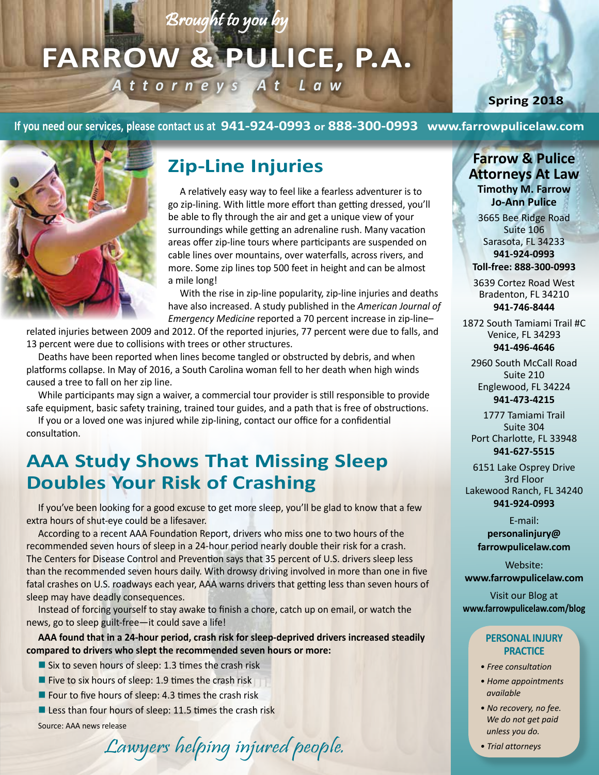# Brought to you by

# **FARROW & PULICE, P.A.** *Attorneys At Law*

**Spring 2018**

**If you need our services, please contact us at 941-924-0993 or 888-300-0993 www.farrowpulicelaw.com**



# **Zip-Line Injuries**

A relatively easy way to feel like a fearless adventurer is to go zip-lining. With little more effort than getting dressed, you'll be able to fly through the air and get a unique view of your surroundings while getting an adrenaline rush. Many vacation areas offer zip-line tours where participants are suspended on cable lines over mountains, over waterfalls, across rivers, and more. Some zip lines top 500 feet in height and can be almost a mile long!

With the rise in zip-line popularity, zip-line injuries and deaths have also increased. A study published in the *American Journal of Emergency Medicine* reported a 70 percent increase in zip-line–

related injuries between 2009 and 2012. Of the reported injuries, 77 percent were due to falls, and 13 percent were due to collisions with trees or other structures.

Deaths have been reported when lines become tangled or obstructed by debris, and when platforms collapse. In May of 2016, a South Carolina woman fell to her death when high winds caused a tree to fall on her zip line.

While participants may sign a waiver, a commercial tour provider is still responsible to provide safe equipment, basic safety training, trained tour guides, and a path that is free of obstructions.

If you or a loved one was injured while zip-lining, contact our office for a confidential consultation.

# **AAA Study Shows That Missing Sleep Doubles Your Risk of Crashing**

If you've been looking for a good excuse to get more sleep, you'll be glad to know that a few extra hours of shut-eye could be a lifesaver.

According to a recent AAA Foundation Report, drivers who miss one to two hours of the recommended seven hours of sleep in a 24-hour period nearly double their risk for a crash. The Centers for Disease Control and Prevention says that 35 percent of U.S. drivers sleep less than the recommended seven hours daily. With drowsy driving involved in more than one in five fatal crashes on U.S. roadways each year, AAA warns drivers that getting less than seven hours of sleep may have deadly consequences.

Instead of forcing yourself to stay awake to finish a chore, catch up on email, or watch the news, go to sleep guilt-free—it could save a life!

**AAA found that in a 24-hour period, crash risk for sleep-deprived drivers increased steadily compared to drivers who slept the recommended seven hours or more:**

- Six to seven hours of sleep: 1.3 times the crash risk
- Five to six hours of sleep: 1.9 times the crash risk
- Four to five hours of sleep: 4.3 times the crash risk
- Less than four hours of sleep: 11.5 times the crash risk

Source: AAA news release

# Lawyers helping injured people.

**Farrow & Pulice Attorneys At Law Timothy M. Farrow**

**Jo-Ann Pulice** 3665 Bee Ridge Road Suite 106 Sarasota, FL 34233 **941-924-0993 Toll-free: 888-300-0993**

3639 Cortez Road West Bradenton, FL 34210 **941-746-8444**

1872 South Tamiami Trail #C Venice, FL 34293 **941-496-4646**

2960 South McCall Road Suite 210 Englewood, FL 34224 **941-473-4215**

1777 Tamiami Trail Suite 304 Port Charlotte, FL 33948 **941-627-5515**

6151 Lake Osprey Drive 3rd Floor Lakewood Ranch, FL 34240 **941-924-0993**

> E-mail: **personalinjury@**

**farrowpulicelaw.com**

Website: **www.farrowpulicelaw.com**

Visit our Blog at **www.farrowpulicelaw.com/blog**

#### **PERSONAL INJURY PRACTICE**

- *Free consultation*
- *Home appointments available*
- *No recovery, no fee. We do not get paid unless you do.*
- *Trial attorneys*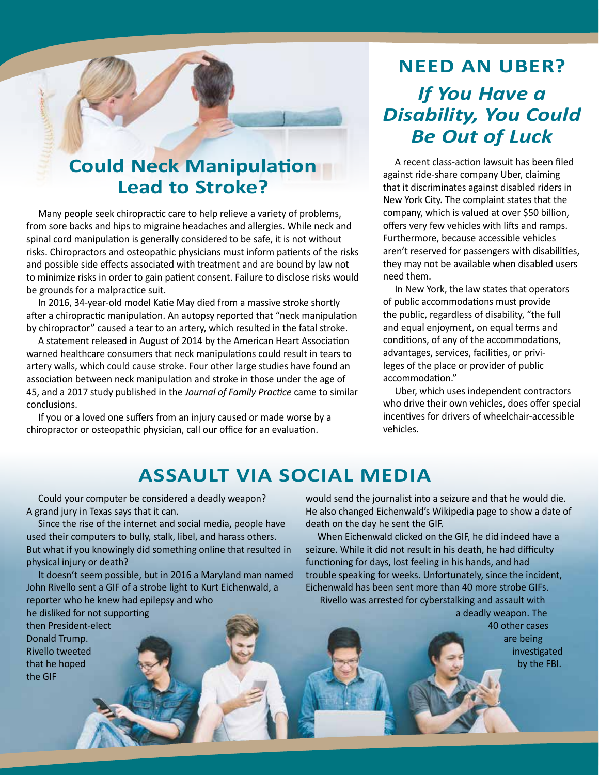#### **Could Neck Manipulation Lead to Stroke?**

Many people seek chiropractic care to help relieve a variety of problems, from sore backs and hips to migraine headaches and allergies. While neck and spinal cord manipulation is generally considered to be safe, it is not without risks. Chiropractors and osteopathic physicians must inform patients of the risks and possible side effects associated with treatment and are bound by law not to minimize risks in order to gain patient consent. Failure to disclose risks would be grounds for a malpractice suit.

In 2016, 34-year-old model Katie May died from a massive stroke shortly after a chiropractic manipulation. An autopsy reported that "neck manipulation by chiropractor" caused a tear to an artery, which resulted in the fatal stroke.

A statement released in August of 2014 by the American Heart Association warned healthcare consumers that neck manipulations could result in tears to artery walls, which could cause stroke. Four other large studies have found an association between neck manipulation and stroke in those under the age of 45, and a 2017 study published in the *Journal of Family Practice* came to similar conclusions.

If you or a loved one suffers from an injury caused or made worse by a chiropractor or osteopathic physician, call our office for an evaluation.

# **NEED AN UBER?**  *If You Have a Disability, You Could Be Out of Luck*

A recent class-action lawsuit has been filed against ride-share company Uber, claiming that it discriminates against disabled riders in New York City. The complaint states that the company, which is valued at over \$50 billion, offers very few vehicles with lifts and ramps. Furthermore, because accessible vehicles aren't reserved for passengers with disabilities, they may not be available when disabled users need them.

In New York, the law states that operators of public accommodations must provide the public, regardless of disability, "the full and equal enjoyment, on equal terms and conditions, of any of the accommodations, advantages, services, facilities, or privileges of the place or provider of public accommodation."

Uber, which uses independent contractors who drive their own vehicles, does offer special incentives for drivers of wheelchair-accessible vehicles.

### **ASSAULT VIA SOCIAL MEDIA**

Could your computer be considered a deadly weapon? A grand jury in Texas says that it can.

Since the rise of the internet and social media, people have used their computers to bully, stalk, libel, and harass others. But what if you knowingly did something online that resulted in physical injury or death?

It doesn't seem possible, but in 2016 a Maryland man named John Rivello sent a GIF of a strobe light to Kurt Eichenwald, a reporter who he knew had epilepsy and who

he disliked for not supporting then President-elect Donald Trump. Rivello tweeted that he hoped the GIF

would send the journalist into a seizure and that he would die. He also changed Eichenwald's Wikipedia page to show a date of death on the day he sent the GIF.

When Eichenwald clicked on the GIF, he did indeed have a seizure. While it did not result in his death, he had difficulty functioning for days, lost feeling in his hands, and had trouble speaking for weeks. Unfortunately, since the incident, Eichenwald has been sent more than 40 more strobe GIFs.

Rivello was arrested for cyberstalking and assault with a deadly weapon. The

40 other cases are being investigated by the FBI.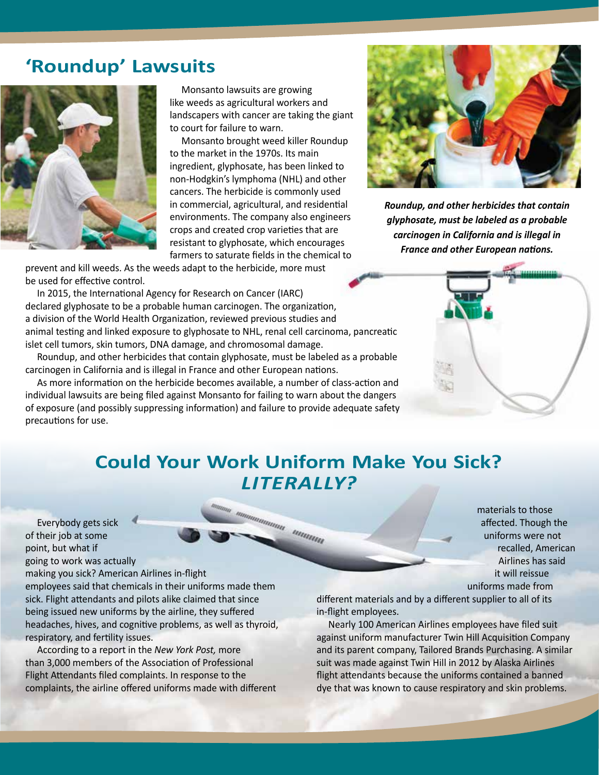#### **'Roundup' Lawsuits**



Monsanto lawsuits are growing like weeds as agricultural workers and landscapers with cancer are taking the giant to court for failure to warn.

Monsanto brought weed killer Roundup to the market in the 1970s. Its main ingredient, glyphosate, has been linked to non-Hodgkin's lymphoma (NHL) and other cancers. The herbicide is commonly used in commercial, agricultural, and residential environments. The company also engineers crops and created crop varieties that are resistant to glyphosate, which encourages farmers to saturate fields in the chemical to

prevent and kill weeds. As the weeds adapt to the herbicide, more must be used for effective control.

In 2015, the International Agency for Research on Cancer (IARC) declared glyphosate to be a probable human carcinogen. The organization, a division of the World Health Organization, reviewed previous studies and animal testing and linked exposure to glyphosate to NHL, renal cell carcinoma, pancreatic islet cell tumors, skin tumors, DNA damage, and chromosomal damage.

Roundup, and other herbicides that contain glyphosate, must be labeled as a probable carcinogen in California and is illegal in France and other European nations.

As more information on the herbicide becomes available, a number of class-action and individual lawsuits are being filed against Monsanto for failing to warn about the dangers of exposure (and possibly suppressing information) and failure to provide adequate safety precautions for use.



*Roundup, and other herbicides that contain glyphosate, must be labeled as a probable carcinogen in California and is illegal in France and other European nations.*



## **Could Your Work Uniform Make You Sick?**  *LITERALLY?*

ummamma ummam

Everybody gets sick of their job at some point, but what if going to work was actually

making you sick? American Airlines in-flight employees said that chemicals in their uniforms made them sick. Flight attendants and pilots alike claimed that since being issued new uniforms by the airline, they suffered headaches, hives, and cognitive problems, as well as thyroid, respiratory, and fertility issues.

According to a report in the *New York Post,* more than 3,000 members of the Association of Professional Flight Attendants filed complaints. In response to the complaints, the airline offered uniforms made with different

materials to those affected. Though the uniforms were not recalled, American Airlines has said it will reissue uniforms made from

different materials and by a different supplier to all of its in-flight employees.

Nearly 100 American Airlines employees have filed suit against uniform manufacturer Twin Hill Acquisition Company and its parent company, Tailored Brands Purchasing. A similar suit was made against Twin Hill in 2012 by Alaska Airlines flight attendants because the uniforms contained a banned dye that was known to cause respiratory and skin problems.